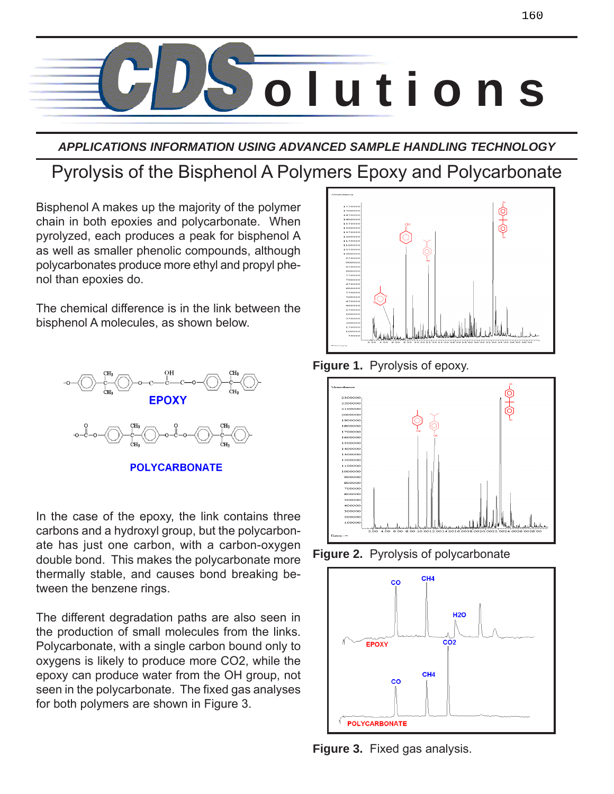

*APPLICATIONS INFORMATION USING ADVANCED SAMPLE HANDLING TECHNOLOGY*

# Pyrolysis of the Bisphenol A Polymers Epoxy and Polycarbonate

Bisphenol A makes up the majority of the polymer chain in both epoxies and polycarbonate. When pyrolyzed, each produces a peak for bisphenol A as well as smaller phenolic compounds, although polycarbonates produce more ethyl and propyl phenol than epoxies do.

The chemical difference is in the link between the bisphenol A molecules, as shown below.



**POLYCARBONATE** 

In the case of the epoxy, the link contains three carbons and a hydroxyl group, but the polycarbonate has just one carbon, with a carbon-oxygen double bond. This makes the polycarbonate more thermally stable, and causes bond breaking between the benzene rings.

The different degradation paths are also seen in the production of small molecules from the links. Polycarbonate, with a single carbon bound only to oxygens is likely to produce more CO2, while the epoxy can produce water from the OH group, not seen in the polycarbonate. The fixed gas analyses for both polymers are shown in Figure 3.







**Figure 2.** Pyrolysis of polycarbonate



**Figure 3.** Fixed gas analysis.